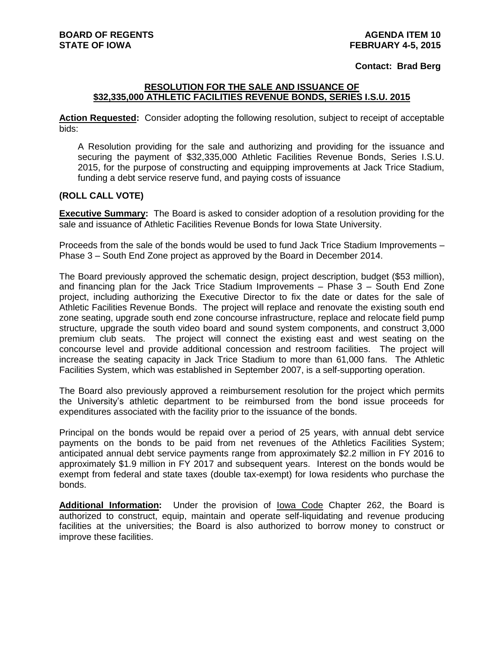## **Contact: Brad Berg**

## **RESOLUTION FOR THE SALE AND ISSUANCE OF \$32,335,000 ATHLETIC FACILITIES REVENUE BONDS, SERIES I.S.U. 2015**

**Action Requested:** Consider adopting the following resolution, subject to receipt of acceptable bids:

A Resolution providing for the sale and authorizing and providing for the issuance and securing the payment of \$32,335,000 Athletic Facilities Revenue Bonds, Series I.S.U. 2015, for the purpose of constructing and equipping improvements at Jack Trice Stadium, funding a debt service reserve fund, and paying costs of issuance

## **(ROLL CALL VOTE)**

**Executive Summary:** The Board is asked to consider adoption of a resolution providing for the sale and issuance of Athletic Facilities Revenue Bonds for Iowa State University.

Proceeds from the sale of the bonds would be used to fund Jack Trice Stadium Improvements – Phase 3 – South End Zone project as approved by the Board in December 2014.

The Board previously approved the schematic design, project description, budget (\$53 million), and financing plan for the Jack Trice Stadium Improvements – Phase 3 – South End Zone project, including authorizing the Executive Director to fix the date or dates for the sale of Athletic Facilities Revenue Bonds. The project will replace and renovate the existing south end zone seating, upgrade south end zone concourse infrastructure, replace and relocate field pump structure, upgrade the south video board and sound system components, and construct 3,000 premium club seats. The project will connect the existing east and west seating on the concourse level and provide additional concession and restroom facilities. The project will increase the seating capacity in Jack Trice Stadium to more than 61,000 fans. The Athletic Facilities System, which was established in September 2007, is a self-supporting operation.

The Board also previously approved a reimbursement resolution for the project which permits the University's athletic department to be reimbursed from the bond issue proceeds for expenditures associated with the facility prior to the issuance of the bonds.

Principal on the bonds would be repaid over a period of 25 years, with annual debt service payments on the bonds to be paid from net revenues of the Athletics Facilities System; anticipated annual debt service payments range from approximately \$2.2 million in FY 2016 to approximately \$1.9 million in FY 2017 and subsequent years. Interest on the bonds would be exempt from federal and state taxes (double tax-exempt) for Iowa residents who purchase the bonds.

**Additional Information:** Under the provision of Iowa Code Chapter 262, the Board is authorized to construct, equip, maintain and operate self-liquidating and revenue producing facilities at the universities; the Board is also authorized to borrow money to construct or improve these facilities.